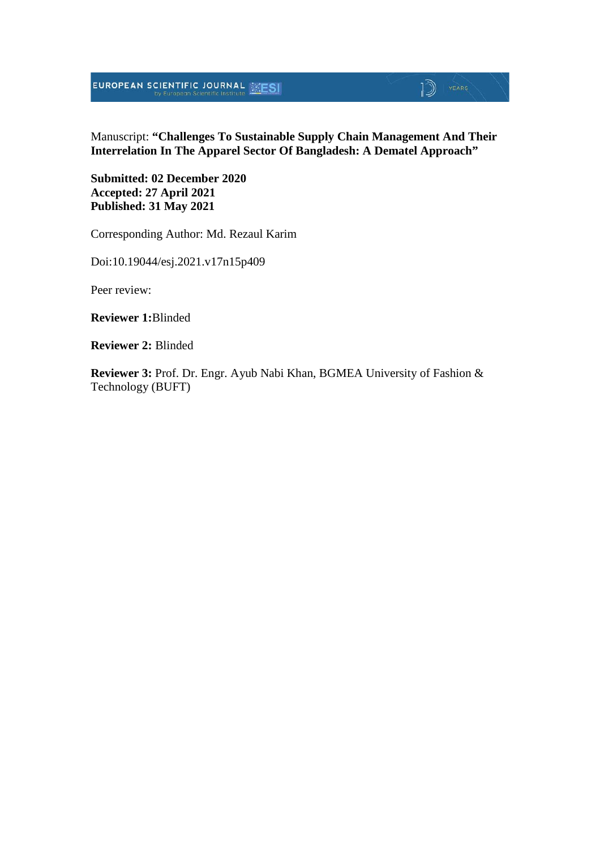**EUROPEAN SCIENTIFIC JOURNAL EXESI** 

## $\mathbb{D}$  YEARS

Manuscript: **"Challenges To Sustainable Supply Chain Management And Their Interrelation In The Apparel Sector Of Bangladesh: A Dematel Approach"**

**Submitted: 02 December 2020 Accepted: 27 April 2021 Published: 31 May 2021**

Corresponding Author: Md. Rezaul Karim

Doi:10.19044/esj.2021.v17n15p409

Peer review:

**Reviewer 1:**Blinded

**Reviewer 2:** Blinded

**Reviewer 3:** Prof. Dr. Engr. Ayub Nabi Khan, BGMEA University of Fashion & Technology (BUFT)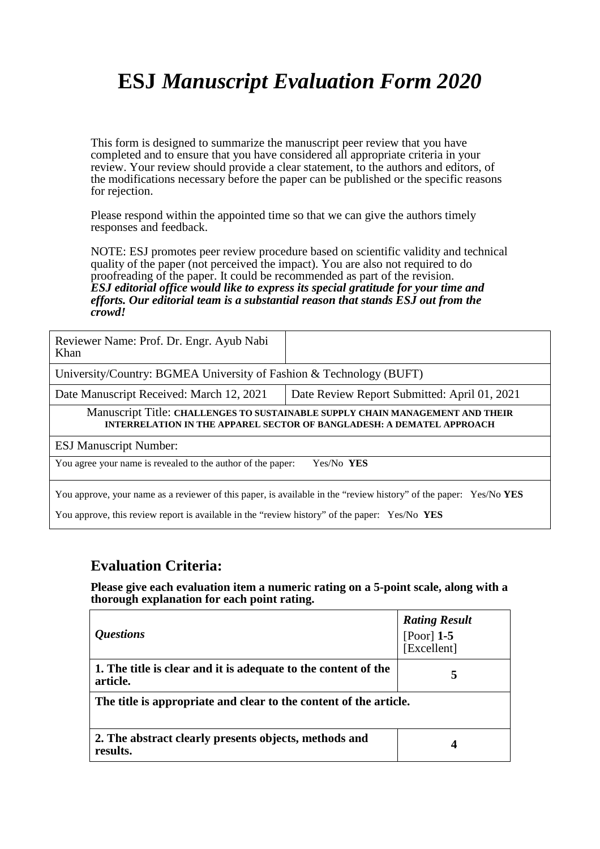# **ESJ** *Manuscript Evaluation Form 2020*

This form is designed to summarize the manuscript peer review that you have completed and to ensure that you have considered all appropriate criteria in your review. Your review should provide a clear statement, to the authors and editors, of the modifications necessary before the paper can be published or the specific reasons for rejection.

Please respond within the appointed time so that we can give the authors timely responses and feedback.

NOTE: ESJ promotes peer review procedure based on scientific validity and technical quality of the paper (not perceived the impact). You are also not required to do proofreading of the paper. It could be recommended as part of the revision. *ESJ editorial office would like to express its special gratitude for your time and efforts. Our editorial team is a substantial reason that stands ESJ out from the crowd!* 

| Reviewer Name: Prof. Dr. Engr. Ayub Nabi<br>Khan                                                                                                              |                                              |  |
|---------------------------------------------------------------------------------------------------------------------------------------------------------------|----------------------------------------------|--|
| University/Country: BGMEA University of Fashion & Technology (BUFT)                                                                                           |                                              |  |
| Date Manuscript Received: March 12, 2021                                                                                                                      | Date Review Report Submitted: April 01, 2021 |  |
| Manuscript Title: CHALLENGES TO SUSTAINABLE SUPPLY CHAIN MANAGEMENT AND THEIR<br><b>INTERRELATION IN THE APPAREL SECTOR OF BANGLADESH: A DEMATEL APPROACH</b> |                                              |  |
| <b>ESJ Manuscript Number:</b>                                                                                                                                 |                                              |  |
| You agree your name is revealed to the author of the paper:<br>Yes/No YES                                                                                     |                                              |  |
| You approve, your name as a reviewer of this paper, is available in the "review history" of the paper: Yes/No YES                                             |                                              |  |

You approve, this review report is available in the "review history" of the paper: Yes/No **YES**

#### **Evaluation Criteria:**

**Please give each evaluation item a numeric rating on a 5-point scale, along with a thorough explanation for each point rating.**

| <i><b>Ouestions</b></i>                                                    | <b>Rating Result</b><br>[Poor] $1-5$<br>[Excellent] |  |  |
|----------------------------------------------------------------------------|-----------------------------------------------------|--|--|
| 1. The title is clear and it is adequate to the content of the<br>article. | 5                                                   |  |  |
| The title is appropriate and clear to the content of the article.          |                                                     |  |  |
| 2. The abstract clearly presents objects, methods and<br>results.          | 4                                                   |  |  |